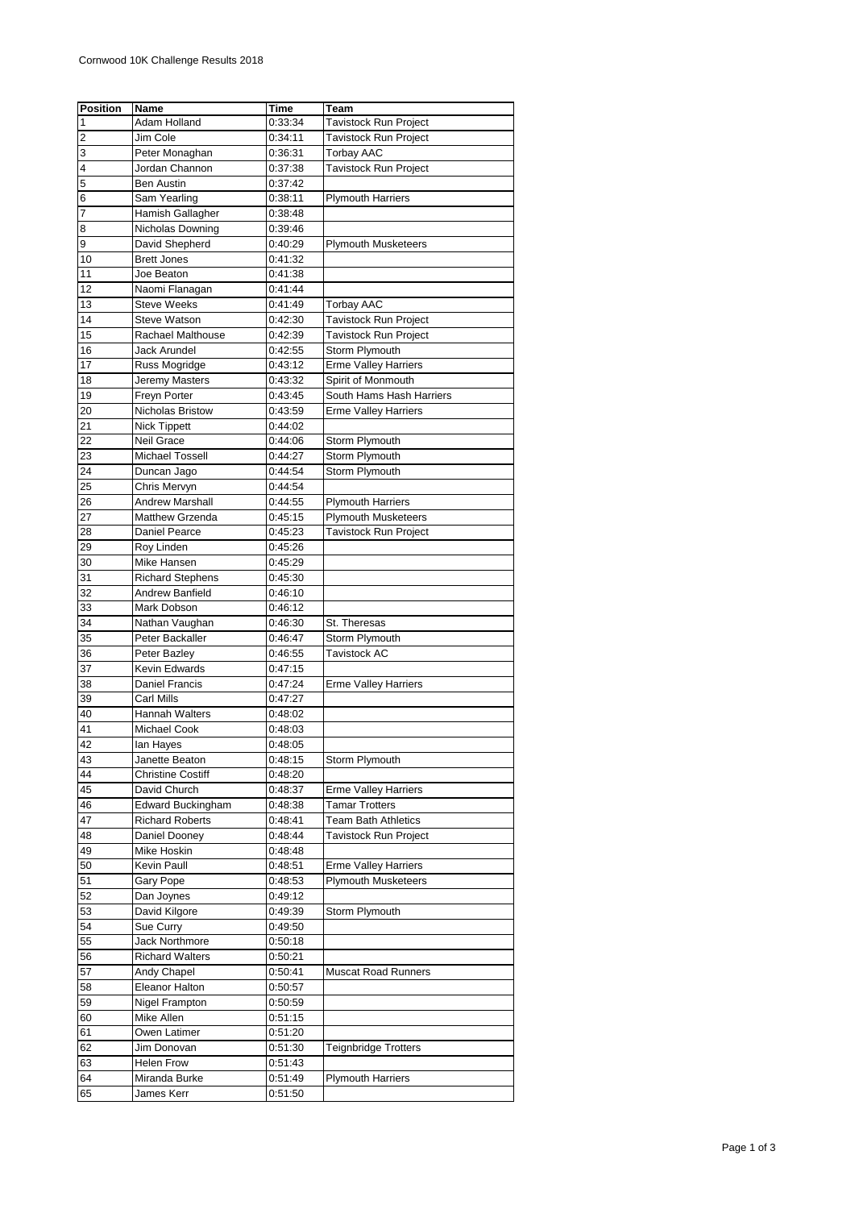| <b>Position</b>         | <b>Name</b>                   | Time    | Team                         |
|-------------------------|-------------------------------|---------|------------------------------|
| 1                       | Adam Holland                  | 0:33:34 | Tavistock Run Project        |
| $\overline{\mathbf{c}}$ | Jim Cole                      | 0:34:11 | <b>Tavistock Run Project</b> |
| 3                       | Peter Monaghan                | 0:36:31 | <b>Torbay AAC</b>            |
| 4                       | Jordan Channon                | 0:37:38 | Tavistock Run Project        |
| 5                       | Ben Austin                    | 0:37:42 |                              |
| 6                       | Sam Yearling                  | 0:38:11 | <b>Plymouth Harriers</b>     |
| 7                       | Hamish Gallagher              | 0:38:48 |                              |
| 8                       | Nicholas Downing              | 0:39:46 |                              |
| 9                       | David Shepherd                | 0:40:29 | <b>Plymouth Musketeers</b>   |
| 10                      | <b>Brett Jones</b>            | 0:41:32 |                              |
| 11                      | Joe Beaton                    | 0:41:38 |                              |
| 12                      | Naomi Flanagan                | 0:41:44 |                              |
| 13                      | <b>Steve Weeks</b>            | 0:41:49 | Torbay AAC                   |
| 14                      | <b>Steve Watson</b>           | 0:42:30 | Tavistock Run Project        |
| 15                      | Rachael Malthouse             | 0:42:39 | Tavistock Run Project        |
| 16                      | Jack Arundel                  | 0:42:55 | Storm Plymouth               |
| 17                      | Russ Mogridge                 | 0:43:12 | <b>Erme Valley Harriers</b>  |
| 18                      | Jeremy Masters                | 0:43:32 | Spirit of Monmouth           |
| 19                      | Freyn Porter                  | 0:43:45 | South Hams Hash Harriers     |
| 20                      | Nicholas Bristow              | 0:43:59 | <b>Erme Valley Harriers</b>  |
| 21                      | <b>Nick Tippett</b>           | 0:44:02 |                              |
| 22                      | Neil Grace                    | 0:44:06 | Storm Plymouth               |
| 23                      | <b>Michael Tossell</b>        | 0.44:27 | Storm Plymouth               |
| 24                      | Duncan Jago                   | 0:44:54 | Storm Plymouth               |
| 25                      | Chris Mervyn                  | 0:44:54 |                              |
| 26                      | <b>Andrew Marshall</b>        | 0:44:55 | <b>Plymouth Harriers</b>     |
| 27                      | <b>Matthew Grzenda</b>        | 0:45:15 | <b>Plymouth Musketeers</b>   |
| 28                      | Daniel Pearce                 | 0:45:23 | Tavistock Run Project        |
| 29                      | Roy Linden                    | 0:45:26 |                              |
| 30                      | Mike Hansen                   | 0:45:29 |                              |
| 31                      | <b>Richard Stephens</b>       | 0:45:30 |                              |
| 32                      | Andrew Banfield               | 0:46:10 |                              |
| 33                      | Mark Dobson                   | 0:46:12 |                              |
| 34                      | Nathan Vaughan                | 0:46:30 | St. Theresas                 |
| 35                      | Peter Backaller               | 0:46:47 | Storm Plymouth               |
| 36                      | Peter Bazley                  | 0:46:55 | <b>Tavistock AC</b>          |
| 37                      | Kevin Edwards                 | 0:47:15 |                              |
| 38                      | Daniel Francis                | 0:47:24 | <b>Erme Valley Harriers</b>  |
| 39                      | Carl Mills                    | 0:47:27 |                              |
| 40                      | Hannah Walters                | 0:48:02 |                              |
| 41                      | <b>Michael Cook</b>           | 0:48:03 |                              |
| 42                      | lan Hayes                     | 0:48:05 |                              |
| 43                      | Janette Beaton                | 0:48:15 | Storm Plymouth               |
| 44                      | <b>Christine Costiff</b>      | 0.48.20 |                              |
| 45                      | David Church                  | 0:48:37 | <b>Erme Valley Harriers</b>  |
| 46                      | <b>Edward Buckingham</b>      | 0:48:38 | <b>Tamar Trotters</b>        |
| 47                      | <b>Richard Roberts</b>        | 0:48:41 | <b>Team Bath Athletics</b>   |
| 48                      | Daniel Dooney                 | 0:48:44 | Tavistock Run Project        |
| 49                      | Mike Hoskin                   | 0:48:48 |                              |
| 50                      | Kevin Paull                   | 0:48:51 | <b>Erme Valley Harriers</b>  |
| 51                      | Gary Pope                     | 0:48:53 | <b>Plymouth Musketeers</b>   |
| 52                      | Dan Joynes                    | 0.49.12 |                              |
| 53                      | David Kilgore                 | 0:49:39 | Storm Plymouth               |
| 54                      | Sue Curry                     | 0:49:50 |                              |
| 55                      | <b>Jack Northmore</b>         | 0:50:18 |                              |
|                         | <b>Richard Walters</b>        | 0:50:21 |                              |
| 56                      |                               |         |                              |
| 57                      | Andy Chapel<br>Eleanor Halton | 0:50:41 | <b>Muscat Road Runners</b>   |
| 58<br>59                | Nigel Frampton                | 0:50:57 |                              |
|                         |                               | 0:50:59 |                              |
| 60                      | Mike Allen                    | 0:51:15 |                              |
| 61                      | Owen Latimer                  | 0:51:20 |                              |
| 62                      | Jim Donovan                   | 0:51:30 | <b>Teignbridge Trotters</b>  |
| 63                      | <b>Helen Frow</b>             | 0:51:43 |                              |
| 64                      | Miranda Burke                 | 0:51:49 | <b>Plymouth Harriers</b>     |
| 65                      | James Kerr                    | 0:51:50 |                              |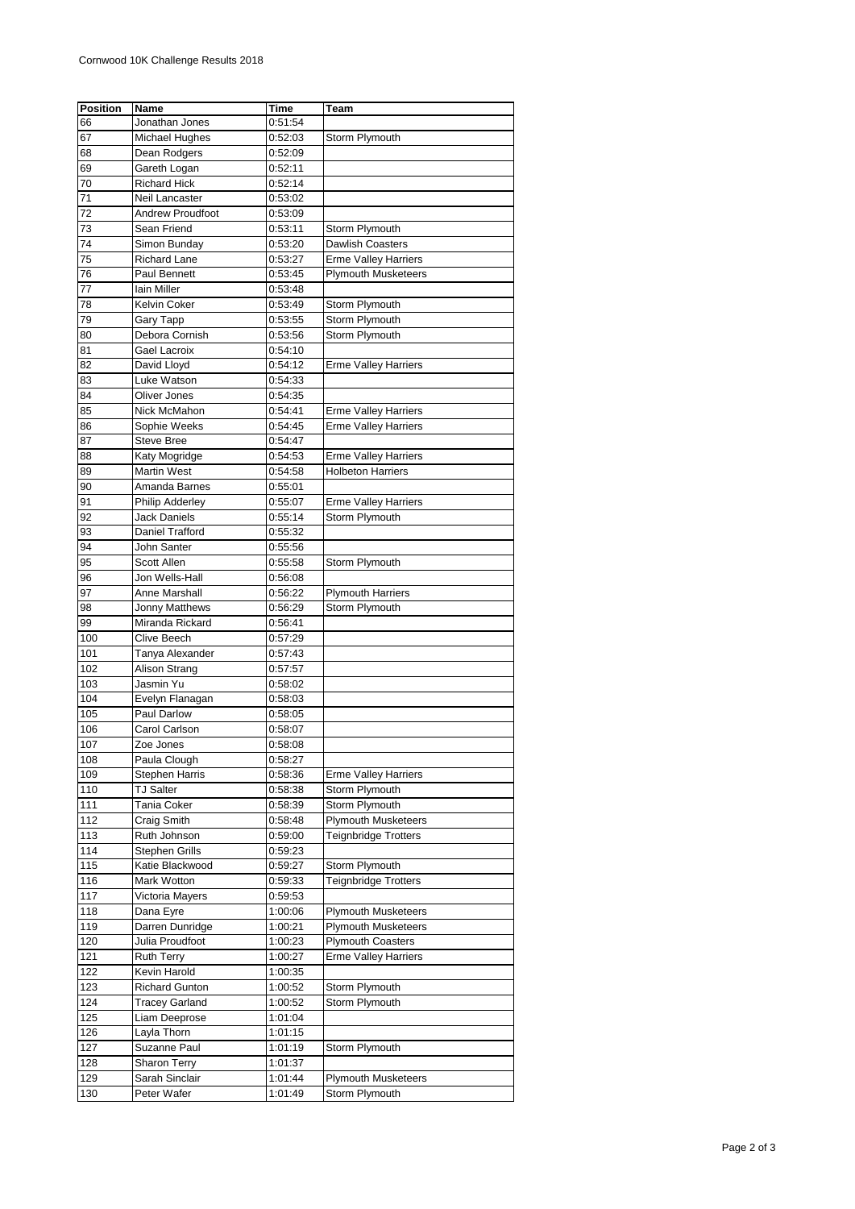| <b>Position</b> | Name                    | Time    | Team                        |
|-----------------|-------------------------|---------|-----------------------------|
| 66              | Jonathan Jones          | 0:51:54 |                             |
| 67              | <b>Michael Hughes</b>   | 0:52:03 | Storm Plymouth              |
| 68              | Dean Rodgers            | 0:52:09 |                             |
| 69              | Gareth Logan            | 0:52:11 |                             |
| 70              | <b>Richard Hick</b>     | 0:52:14 |                             |
|                 |                         |         |                             |
| 71              | Neil Lancaster          | 0:53:02 |                             |
| 72              | <b>Andrew Proudfoot</b> | 0:53:09 |                             |
| 73              | Sean Friend             | 0:53:11 | Storm Plymouth              |
| 74              | Simon Bunday            | 0:53:20 | <b>Dawlish Coasters</b>     |
| 75              | <b>Richard Lane</b>     | 0:53:27 | <b>Erme Valley Harriers</b> |
| 76              | Paul Bennett            | 0:53:45 | <b>Plymouth Musketeers</b>  |
| 77              | lain Miller             | 0:53:48 |                             |
| 78              | Kelvin Coker            | 0:53:49 | Storm Plymouth              |
| 79              | Gary Tapp               | 0:53:55 | Storm Plymouth              |
| 80              | Debora Cornish          | 0:53:56 | Storm Plymouth              |
| 81              | Gael Lacroix            | 0:54:10 |                             |
| 82              | David Lloyd             | 0:54:12 | <b>Erme Valley Harriers</b> |
| 83              | Luke Watson             | 0:54:33 |                             |
| 84              | Oliver Jones            | 0:54:35 |                             |
|                 | Nick McMahon            |         |                             |
| 85              |                         | 0:54:41 | <b>Erme Valley Harriers</b> |
| 86              | Sophie Weeks            | 0:54:45 | <b>Erme Valley Harriers</b> |
| 87              | <b>Steve Bree</b>       | 0:54:47 |                             |
| 88              | Katy Mogridge           | 0:54:53 | <b>Erme Valley Harriers</b> |
| 89              | <b>Martin West</b>      | 0:54:58 | <b>Holbeton Harriers</b>    |
| 90              | Amanda Barnes           | 0:55:01 |                             |
| 91              | <b>Philip Adderley</b>  | 0:55:07 | <b>Erme Valley Harriers</b> |
| 92              | Jack Daniels            | 0:55:14 | Storm Plymouth              |
| 93              | Daniel Trafford         | 0:55:32 |                             |
| 94              | John Santer             | 0:55:56 |                             |
| 95              | Scott Allen             | 0:55:58 | Storm Plymouth              |
| 96              | Jon Wells-Hall          | 0:56:08 |                             |
| 97              | Anne Marshall           | 0:56:22 | <b>Plymouth Harriers</b>    |
| 98              | Jonny Matthews          | 0:56:29 | Storm Plymouth              |
| 99              | Miranda Rickard         | 0:56:41 |                             |
|                 |                         |         |                             |
| 100             | Clive Beech             | 0:57:29 |                             |
| 101             | Tanya Alexander         | 0:57:43 |                             |
| 102             | Alison Strang           | 0:57:57 |                             |
| 103             | Jasmin Yu               | 0:58:02 |                             |
| 104             | Evelyn Flanagan         | 0:58:03 |                             |
| 105             | Paul Darlow             | 0:58:05 |                             |
| 106             | Carol Carlson           | 0:58:07 |                             |
| 107             | ∠oe Jones               | 0:58:08 |                             |
| 108             | Paula Clough            | 0:58:27 |                             |
| 109             | <b>Stephen Harris</b>   | 0:58:36 | <b>Erme Valley Harriers</b> |
| 110             | TJ Salter               | 0:58:38 | Storm Plymouth              |
| 111             | Tania Coker             | 0:58:39 | Storm Plymouth              |
| 112             | Craig Smith             | 0.58:48 | <b>Plymouth Musketeers</b>  |
| 113             | Ruth Johnson            | 0.59:00 | <b>Teignbridge Trotters</b> |
| 114             | <b>Stephen Grills</b>   | 0:59:23 |                             |
|                 |                         |         |                             |
| 115             | Katie Blackwood         | 0:59:27 | Storm Plymouth              |
| 116             | Mark Wotton             | 0:59:33 | <b>Teignbridge Trotters</b> |
| 117             | Victoria Mayers         | 0:59:53 |                             |
| 118             | Dana Eyre               | 1:00:06 | <b>Plymouth Musketeers</b>  |
| 119             | Darren Dunridge         | 1:00:21 | <b>Plymouth Musketeers</b>  |
| 120             | Julia Proudfoot         | 1:00:23 | <b>Plymouth Coasters</b>    |
| 121             | Ruth Terry              | 1:00:27 | <b>Erme Valley Harriers</b> |
| 122             | Kevin Harold            | 1:00:35 |                             |
| 123             | <b>Richard Gunton</b>   | 1:00:52 | Storm Plymouth              |
| 124             | <b>Tracey Garland</b>   | 1:00:52 | Storm Plymouth              |
| 125             | Liam Deeprose           | 1:01:04 |                             |
| 126             | Layla Thorn             | 1:01:15 |                             |
| 127             | Suzanne Paul            | 1:01:19 | Storm Plymouth              |
| 128             | <b>Sharon Terry</b>     | 1:01:37 |                             |
| 129             | Sarah Sinclair          | 1:01:44 | <b>Plymouth Musketeers</b>  |
|                 |                         |         |                             |
| 130             | Peter Wafer             | 1:01:49 | Storm Plymouth              |